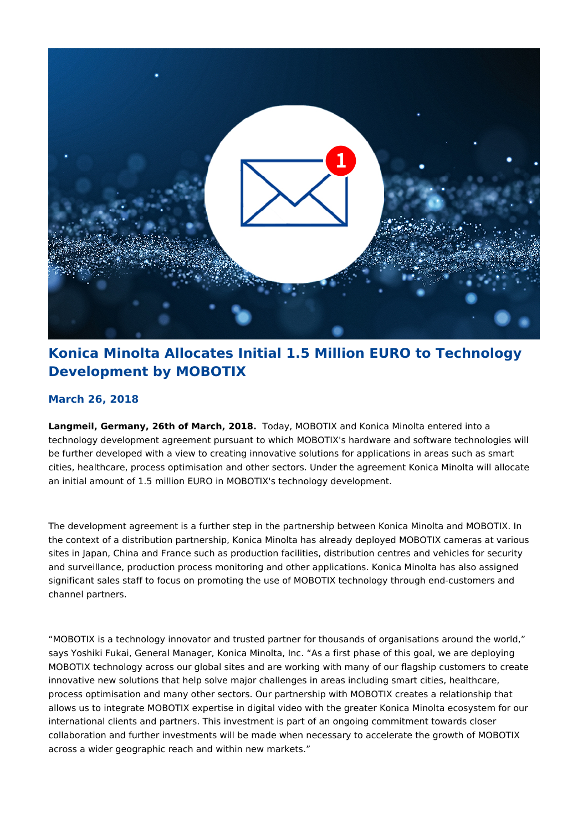

# **Konica Minolta Allocates Initial 1.5 Million EURO to Technology Development by MOBOTIX**

## **March 26, 2018**

**Langmeil, Germany, 26th of March, 2018.** Today, MOBOTIX and Konica Minolta entered into a technology development agreement pursuant to which MOBOTIX's hardware and software technologies will be further developed with a view to creating innovative solutions for applications in areas such as smart cities, healthcare, process optimisation and other sectors. Under the agreement Konica Minolta will allocate an initial amount of 1.5 million EURO in MOBOTIX's technology development.

The development agreement is a further step in the partnership between Konica Minolta and MOBOTIX. In the context of a distribution partnership, Konica Minolta has already deployed MOBOTIX cameras at various sites in Japan, China and France such as production facilities, distribution centres and vehicles for security and surveillance, production process monitoring and other applications. Konica Minolta has also assigned significant sales staff to focus on promoting the use of MOBOTIX technology through end-customers and channel partners.

"MOBOTIX is a technology innovator and trusted partner for thousands of organisations around the world," says Yoshiki Fukai, General Manager, Konica Minolta, Inc. "As a first phase of this goal, we are deploying MOBOTIX technology across our global sites and are working with many of our flagship customers to create innovative new solutions that help solve major challenges in areas including smart cities, healthcare, process optimisation and many other sectors. Our partnership with MOBOTIX creates a relationship that allows us to integrate MOBOTIX expertise in digital video with the greater Konica Minolta ecosystem for our international clients and partners. This investment is part of an ongoing commitment towards closer collaboration and further investments will be made when necessary to accelerate the growth of MOBOTIX across a wider geographic reach and within new markets."